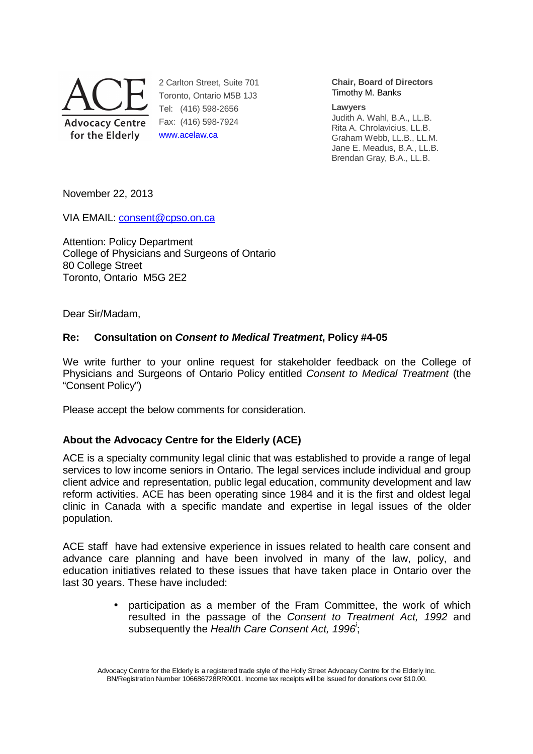

2 Carlton Street, Suite 701 Toronto, Ontario M5B 1J3 Tel: (416) 598-2656 Fax: (416) 598-7924 www.acelaw.ca

**Chair, Board of Directors** Timothy M. Banks

#### **Lawyers**

Judith A. Wahl, B.A., LL.B. Rita A. Chrolavicius, LL.B. Graham Webb, LL.B., LL.M. Jane E. Meadus, B.A., LL.B. Brendan Gray, B.A., LL.B.

November 22, 2013

VIA EMAIL: consent@cpso.on.ca

Attention: Policy Department College of Physicians and Surgeons of Ontario 80 College Street Toronto, Ontario M5G 2E2

Dear Sir/Madam,

## **Re: Consultation on Consent to Medical Treatment, Policy #4-05**

We write further to your online request for stakeholder feedback on the College of Physicians and Surgeons of Ontario Policy entitled Consent to Medical Treatment (the "Consent Policy")

Please accept the below comments for consideration.

# **About the Advocacy Centre for the Elderly (ACE)**

ACE is a specialty community legal clinic that was established to provide a range of legal services to low income seniors in Ontario. The legal services include individual and group client advice and representation, public legal education, community development and law reform activities. ACE has been operating since 1984 and it is the first and oldest legal clinic in Canada with a specific mandate and expertise in legal issues of the older population.

ACE staff have had extensive experience in issues related to health care consent and advance care planning and have been involved in many of the law, policy, and education initiatives related to these issues that have taken place in Ontario over the last 30 years. These have included:

> • participation as a member of the Fram Committee, the work of which resulted in the passage of the Consent to Treatment Act, 1992 and subsequently the Health Care Consent Act, 1996<sup>'</sup>;

Advocacy Centre for the Elderly is a registered trade style of the Holly Street Advocacy Centre for the Elderly Inc. BN/Registration Number 106686728RR0001. Income tax receipts will be issued for donations over \$10.00.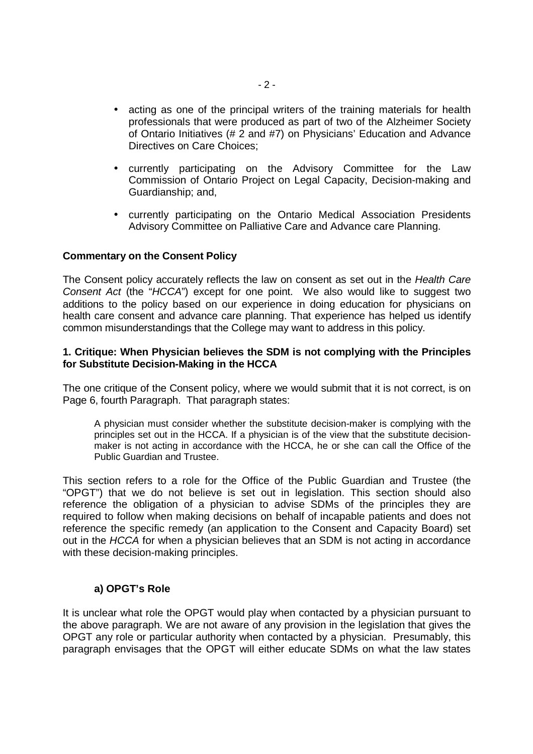- acting as one of the principal writers of the training materials for health professionals that were produced as part of two of the Alzheimer Society of Ontario Initiatives (# 2 and #7) on Physicians' Education and Advance Directives on Care Choices;
- currently participating on the Advisory Committee for the Law Commission of Ontario Project on Legal Capacity, Decision-making and Guardianship; and,
- currently participating on the Ontario Medical Association Presidents Advisory Committee on Palliative Care and Advance care Planning.

### **Commentary on the Consent Policy**

The Consent policy accurately reflects the law on consent as set out in the Health Care Consent Act (the "HCCA") except for one point. We also would like to suggest two additions to the policy based on our experience in doing education for physicians on health care consent and advance care planning. That experience has helped us identify common misunderstandings that the College may want to address in this policy.

### **1. Critique: When Physician believes the SDM is not complying with the Principles for Substitute Decision-Making in the HCCA**

The one critique of the Consent policy, where we would submit that it is not correct, is on Page 6, fourth Paragraph. That paragraph states:

A physician must consider whether the substitute decision-maker is complying with the principles set out in the HCCA. If a physician is of the view that the substitute decisionmaker is not acting in accordance with the HCCA, he or she can call the Office of the Public Guardian and Trustee.

This section refers to a role for the Office of the Public Guardian and Trustee (the "OPGT") that we do not believe is set out in legislation. This section should also reference the obligation of a physician to advise SDMs of the principles they are required to follow when making decisions on behalf of incapable patients and does not reference the specific remedy (an application to the Consent and Capacity Board) set out in the HCCA for when a physician believes that an SDM is not acting in accordance with these decision-making principles.

### **a) OPGT's Role**

It is unclear what role the OPGT would play when contacted by a physician pursuant to the above paragraph. We are not aware of any provision in the legislation that gives the OPGT any role or particular authority when contacted by a physician. Presumably, this paragraph envisages that the OPGT will either educate SDMs on what the law states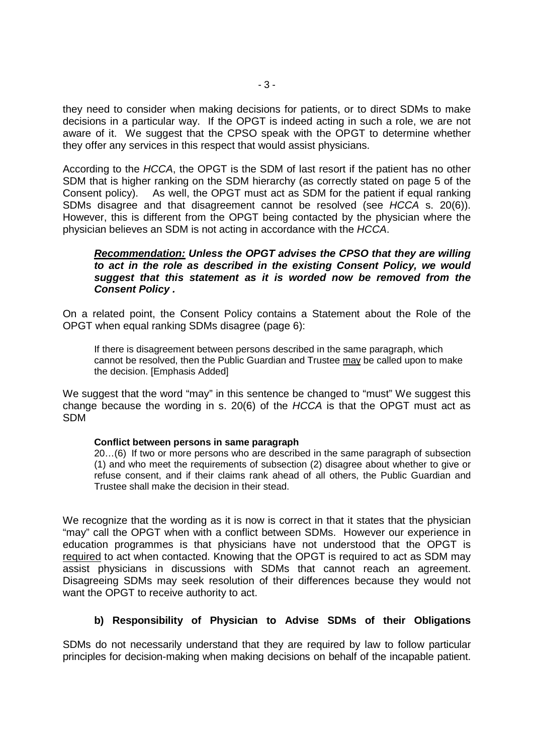they need to consider when making decisions for patients, or to direct SDMs to make decisions in a particular way. If the OPGT is indeed acting in such a role, we are not aware of it. We suggest that the CPSO speak with the OPGT to determine whether they offer any services in this respect that would assist physicians.

According to the HCCA, the OPGT is the SDM of last resort if the patient has no other SDM that is higher ranking on the SDM hierarchy (as correctly stated on page 5 of the Consent policy). As well, the OPGT must act as SDM for the patient if equal ranking SDMs disagree and that disagreement cannot be resolved (see HCCA s. 20(6)). However, this is different from the OPGT being contacted by the physician where the physician believes an SDM is not acting in accordance with the HCCA.

### **Recommendation: Unless the OPGT advises the CPSO that they are willing to act in the role as described in the existing Consent Policy, we would suggest that this statement as it is worded now be removed from the Consent Policy .**

On a related point, the Consent Policy contains a Statement about the Role of the OPGT when equal ranking SDMs disagree (page 6):

If there is disagreement between persons described in the same paragraph, which cannot be resolved, then the Public Guardian and Trustee may be called upon to make the decision. [Emphasis Added]

We suggest that the word "may" in this sentence be changed to "must" We suggest this change because the wording in s. 20(6) of the HCCA is that the OPGT must act as SDM

#### **Conflict between persons in same paragraph**

20…(6) If two or more persons who are described in the same paragraph of subsection (1) and who meet the requirements of subsection (2) disagree about whether to give or refuse consent, and if their claims rank ahead of all others, the Public Guardian and Trustee shall make the decision in their stead.

We recognize that the wording as it is now is correct in that it states that the physician "may" call the OPGT when with a conflict between SDMs. However our experience in education programmes is that physicians have not understood that the OPGT is required to act when contacted. Knowing that the OPGT is required to act as SDM may assist physicians in discussions with SDMs that cannot reach an agreement. Disagreeing SDMs may seek resolution of their differences because they would not want the OPGT to receive authority to act.

## **b) Responsibility of Physician to Advise SDMs of their Obligations**

SDMs do not necessarily understand that they are required by law to follow particular principles for decision-making when making decisions on behalf of the incapable patient.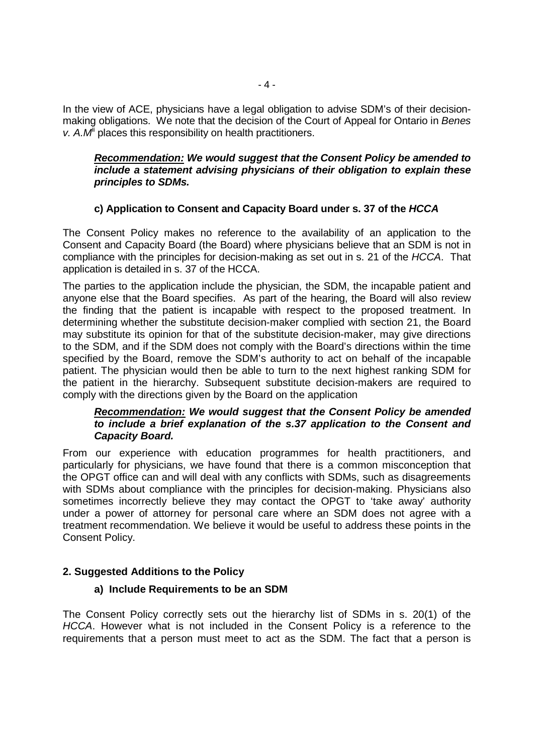In the view of ACE, physicians have a legal obligation to advise SDM's of their decisionmaking obligations. We note that the decision of the Court of Appeal for Ontario in Benes v.  $A.M<sup>i</sup>$  places this responsibility on health practitioners.

### **Recommendation: We would suggest that the Consent Policy be amended to include a statement advising physicians of their obligation to explain these principles to SDMs.**

## **c) Application to Consent and Capacity Board under s. 37 of the HCCA**

The Consent Policy makes no reference to the availability of an application to the Consent and Capacity Board (the Board) where physicians believe that an SDM is not in compliance with the principles for decision-making as set out in s. 21 of the HCCA. That application is detailed in s. 37 of the HCCA.

The parties to the application include the physician, the SDM, the incapable patient and anyone else that the Board specifies. As part of the hearing, the Board will also review the finding that the patient is incapable with respect to the proposed treatment. In determining whether the substitute decision-maker complied with section 21, the Board may substitute its opinion for that of the substitute decision-maker, may give directions to the SDM, and if the SDM does not comply with the Board's directions within the time specified by the Board, remove the SDM's authority to act on behalf of the incapable patient. The physician would then be able to turn to the next highest ranking SDM for the patient in the hierarchy. Subsequent substitute decision-makers are required to comply with the directions given by the Board on the application

### **Recommendation: We would suggest that the Consent Policy be amended to include a brief explanation of the s.37 application to the Consent and Capacity Board.**

From our experience with education programmes for health practitioners, and particularly for physicians, we have found that there is a common misconception that the OPGT office can and will deal with any conflicts with SDMs, such as disagreements with SDMs about compliance with the principles for decision-making. Physicians also sometimes incorrectly believe they may contact the OPGT to 'take away' authority under a power of attorney for personal care where an SDM does not agree with a treatment recommendation. We believe it would be useful to address these points in the Consent Policy.

## **2. Suggested Additions to the Policy**

### **a) Include Requirements to be an SDM**

The Consent Policy correctly sets out the hierarchy list of SDMs in s. 20(1) of the HCCA. However what is not included in the Consent Policy is a reference to the requirements that a person must meet to act as the SDM. The fact that a person is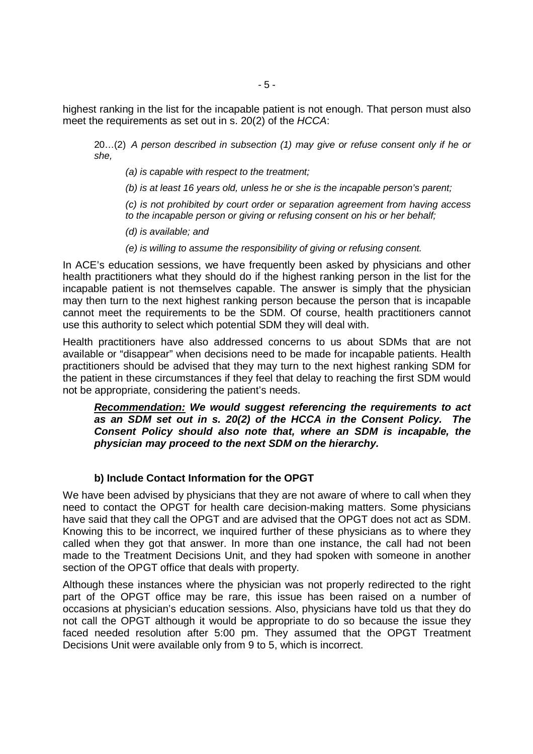highest ranking in the list for the incapable patient is not enough. That person must also meet the requirements as set out in s. 20(2) of the HCCA:

20…(2) A person described in subsection (1) may give or refuse consent only if he or she,

(a) is capable with respect to the treatment;

(b) is at least 16 years old, unless he or she is the incapable person's parent;

(c) is not prohibited by court order or separation agreement from having access to the incapable person or giving or refusing consent on his or her behalf;

(d) is available; and

(e) is willing to assume the responsibility of giving or refusing consent.

In ACE's education sessions, we have frequently been asked by physicians and other health practitioners what they should do if the highest ranking person in the list for the incapable patient is not themselves capable. The answer is simply that the physician may then turn to the next highest ranking person because the person that is incapable cannot meet the requirements to be the SDM. Of course, health practitioners cannot use this authority to select which potential SDM they will deal with.

Health practitioners have also addressed concerns to us about SDMs that are not available or "disappear" when decisions need to be made for incapable patients. Health practitioners should be advised that they may turn to the next highest ranking SDM for the patient in these circumstances if they feel that delay to reaching the first SDM would not be appropriate, considering the patient's needs.

**Recommendation: We would suggest referencing the requirements to act as an SDM set out in s. 20(2) of the HCCA in the Consent Policy. The Consent Policy should also note that, where an SDM is incapable, the physician may proceed to the next SDM on the hierarchy.** 

### **b) Include Contact Information for the OPGT**

We have been advised by physicians that they are not aware of where to call when they need to contact the OPGT for health care decision-making matters. Some physicians have said that they call the OPGT and are advised that the OPGT does not act as SDM. Knowing this to be incorrect, we inquired further of these physicians as to where they called when they got that answer. In more than one instance, the call had not been made to the Treatment Decisions Unit, and they had spoken with someone in another section of the OPGT office that deals with property.

Although these instances where the physician was not properly redirected to the right part of the OPGT office may be rare, this issue has been raised on a number of occasions at physician's education sessions. Also, physicians have told us that they do not call the OPGT although it would be appropriate to do so because the issue they faced needed resolution after 5:00 pm. They assumed that the OPGT Treatment Decisions Unit were available only from 9 to 5, which is incorrect.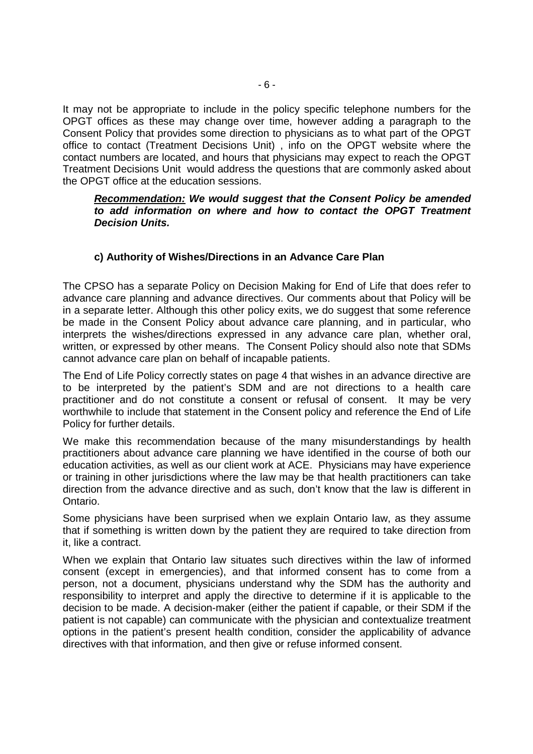It may not be appropriate to include in the policy specific telephone numbers for the OPGT offices as these may change over time, however adding a paragraph to the Consent Policy that provides some direction to physicians as to what part of the OPGT office to contact (Treatment Decisions Unit) , info on the OPGT website where the contact numbers are located, and hours that physicians may expect to reach the OPGT Treatment Decisions Unit would address the questions that are commonly asked about the OPGT office at the education sessions.

### **Recommendation: We would suggest that the Consent Policy be amended to add information on where and how to contact the OPGT Treatment Decision Units.**

## **c) Authority of Wishes/Directions in an Advance Care Plan**

The CPSO has a separate Policy on Decision Making for End of Life that does refer to advance care planning and advance directives. Our comments about that Policy will be in a separate letter. Although this other policy exits, we do suggest that some reference be made in the Consent Policy about advance care planning, and in particular, who interprets the wishes/directions expressed in any advance care plan, whether oral, written, or expressed by other means. The Consent Policy should also note that SDMs cannot advance care plan on behalf of incapable patients.

The End of Life Policy correctly states on page 4 that wishes in an advance directive are to be interpreted by the patient's SDM and are not directions to a health care practitioner and do not constitute a consent or refusal of consent. It may be very worthwhile to include that statement in the Consent policy and reference the End of Life Policy for further details.

We make this recommendation because of the many misunderstandings by health practitioners about advance care planning we have identified in the course of both our education activities, as well as our client work at ACE. Physicians may have experience or training in other jurisdictions where the law may be that health practitioners can take direction from the advance directive and as such, don't know that the law is different in Ontario.

Some physicians have been surprised when we explain Ontario law, as they assume that if something is written down by the patient they are required to take direction from it, like a contract.

When we explain that Ontario law situates such directives within the law of informed consent (except in emergencies), and that informed consent has to come from a person, not a document, physicians understand why the SDM has the authority and responsibility to interpret and apply the directive to determine if it is applicable to the decision to be made. A decision-maker (either the patient if capable, or their SDM if the patient is not capable) can communicate with the physician and contextualize treatment options in the patient's present health condition, consider the applicability of advance directives with that information, and then give or refuse informed consent.